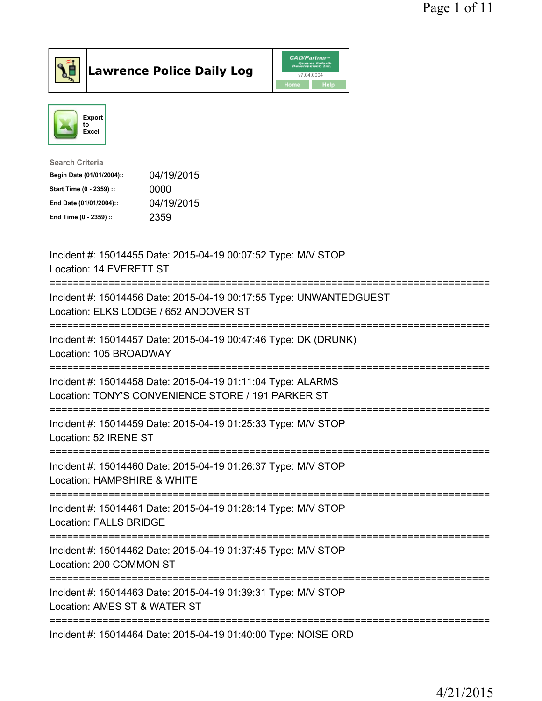

Lawrence Police Daily Log CAD/Partner



| <b>Search Criteria</b>    |            |
|---------------------------|------------|
| Begin Date (01/01/2004):: | 04/19/2015 |
| Start Time (0 - 2359) ::  | 0000       |
| End Date (01/01/2004)::   | 04/19/2015 |
| End Time (0 - 2359) ::    | 2359       |
|                           |            |

| Incident #: 15014455 Date: 2015-04-19 00:07:52 Type: M/V STOP<br>Location: 14 EVERETT ST                                                                     |
|--------------------------------------------------------------------------------------------------------------------------------------------------------------|
| Incident #: 15014456 Date: 2015-04-19 00:17:55 Type: UNWANTEDGUEST<br>Location: ELKS LODGE / 652 ANDOVER ST                                                  |
| Incident #: 15014457 Date: 2015-04-19 00:47:46 Type: DK (DRUNK)<br>Location: 105 BROADWAY<br>-------------                                                   |
| Incident #: 15014458 Date: 2015-04-19 01:11:04 Type: ALARMS<br>Location: TONY'S CONVENIENCE STORE / 191 PARKER ST<br>============<br>----------------------- |
| Incident #: 15014459 Date: 2015-04-19 01:25:33 Type: M/V STOP<br>Location: 52 IRENE ST<br>========================                                           |
| Incident #: 15014460 Date: 2015-04-19 01:26:37 Type: M/V STOP<br>Location: HAMPSHIRE & WHITE                                                                 |
| Incident #: 15014461 Date: 2015-04-19 01:28:14 Type: M/V STOP<br>Location: FALLS BRIDGE<br>-------------                                                     |
| Incident #: 15014462 Date: 2015-04-19 01:37:45 Type: M/V STOP<br>Location: 200 COMMON ST                                                                     |
| Incident #: 15014463 Date: 2015-04-19 01:39:31 Type: M/V STOP<br>Location: AMES ST & WATER ST                                                                |
| Incident #: 15014464 Date: 2015-04-19 01:40:00 Type: NOISE ORD                                                                                               |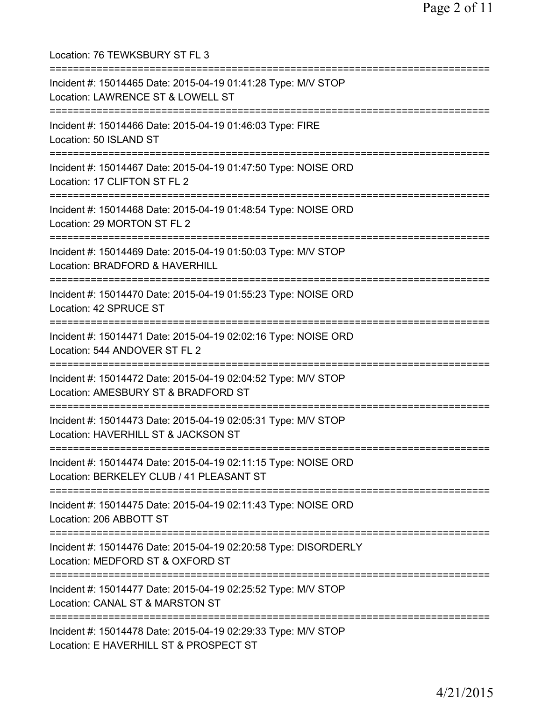Location: 76 TEWKSBURY ST FL 3 =========================================================================== Incident #: 15014465 Date: 2015-04-19 01:41:28 Type: M/V STOP Location: LAWRENCE ST & LOWELL ST =========================================================================== Incident #: 15014466 Date: 2015-04-19 01:46:03 Type: FIRE Location: 50 ISLAND ST =========================================================================== Incident #: 15014467 Date: 2015-04-19 01:47:50 Type: NOISE ORD Location: 17 CLIFTON ST FL 2 =========================================================================== Incident #: 15014468 Date: 2015-04-19 01:48:54 Type: NOISE ORD Location: 29 MORTON ST FL 2 =========================================================================== Incident #: 15014469 Date: 2015-04-19 01:50:03 Type: M/V STOP Location: BRADFORD & HAVERHILL =========================================================================== Incident #: 15014470 Date: 2015-04-19 01:55:23 Type: NOISE ORD Location: 42 SPRUCE ST =========================================================================== Incident #: 15014471 Date: 2015-04-19 02:02:16 Type: NOISE ORD Location: 544 ANDOVER ST FL 2 =========================================================================== Incident #: 15014472 Date: 2015-04-19 02:04:52 Type: M/V STOP Location: AMESBURY ST & BRADFORD ST =========================================================================== Incident #: 15014473 Date: 2015-04-19 02:05:31 Type: M/V STOP Location: HAVERHILL ST & JACKSON ST =========================================================================== Incident #: 15014474 Date: 2015-04-19 02:11:15 Type: NOISE ORD Location: BERKELEY CLUB / 41 PLEASANT ST =========================================================================== Incident #: 15014475 Date: 2015-04-19 02:11:43 Type: NOISE ORD Location: 206 ABBOTT ST =========================================================================== Incident #: 15014476 Date: 2015-04-19 02:20:58 Type: DISORDERLY Location: MEDFORD ST & OXFORD ST =========================================================================== Incident #: 15014477 Date: 2015-04-19 02:25:52 Type: M/V STOP Location: CANAL ST & MARSTON ST =========================================================================== Incident #: 15014478 Date: 2015-04-19 02:29:33 Type: M/V STOP Location: E HAVERHILL ST & PROSPECT ST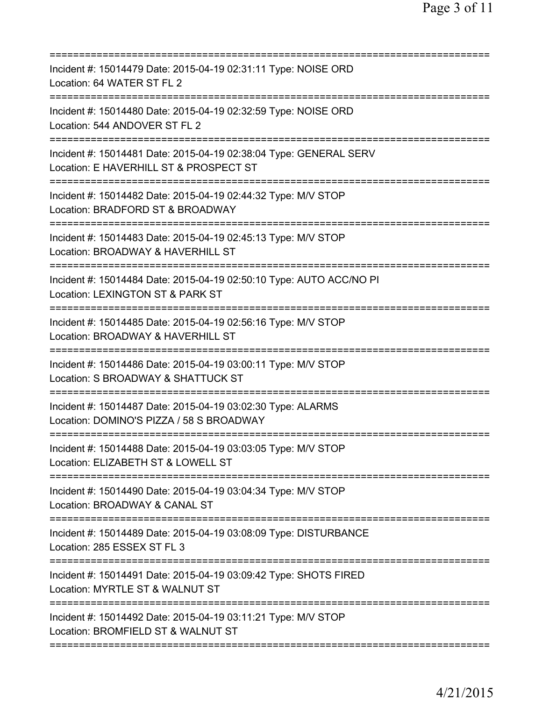| ==========================                                                                                                           |
|--------------------------------------------------------------------------------------------------------------------------------------|
| Incident #: 15014479 Date: 2015-04-19 02:31:11 Type: NOISE ORD<br>Location: 64 WATER ST FL 2                                         |
| Incident #: 15014480 Date: 2015-04-19 02:32:59 Type: NOISE ORD<br>Location: 544 ANDOVER ST FL 2                                      |
| Incident #: 15014481 Date: 2015-04-19 02:38:04 Type: GENERAL SERV<br>Location: E HAVERHILL ST & PROSPECT ST                          |
| Incident #: 15014482 Date: 2015-04-19 02:44:32 Type: M/V STOP<br>Location: BRADFORD ST & BROADWAY                                    |
| ===========================<br>Incident #: 15014483 Date: 2015-04-19 02:45:13 Type: M/V STOP<br>Location: BROADWAY & HAVERHILL ST    |
| =========================<br>Incident #: 15014484 Date: 2015-04-19 02:50:10 Type: AUTO ACC/NO PI<br>Location: LEXINGTON ST & PARK ST |
| Incident #: 15014485 Date: 2015-04-19 02:56:16 Type: M/V STOP<br>Location: BROADWAY & HAVERHILL ST<br>=============================  |
| Incident #: 15014486 Date: 2015-04-19 03:00:11 Type: M/V STOP<br>Location: S BROADWAY & SHATTUCK ST                                  |
| Incident #: 15014487 Date: 2015-04-19 03:02:30 Type: ALARMS<br>Location: DOMINO'S PIZZA / 58 S BROADWAY                              |
| Incident #: 15014488 Date: 2015-04-19 03:03:05 Type: M/V STOP<br>Location: ELIZABETH ST & LOWELL ST                                  |
| Incident #: 15014490 Date: 2015-04-19 03:04:34 Type: M/V STOP<br>Location: BROADWAY & CANAL ST                                       |
| Incident #: 15014489 Date: 2015-04-19 03:08:09 Type: DISTURBANCE<br>Location: 285 ESSEX ST FL 3                                      |
| Incident #: 15014491 Date: 2015-04-19 03:09:42 Type: SHOTS FIRED<br>Location: MYRTLE ST & WALNUT ST<br>===========================   |
| Incident #: 15014492 Date: 2015-04-19 03:11:21 Type: M/V STOP<br>Location: BROMFIELD ST & WALNUT ST                                  |
|                                                                                                                                      |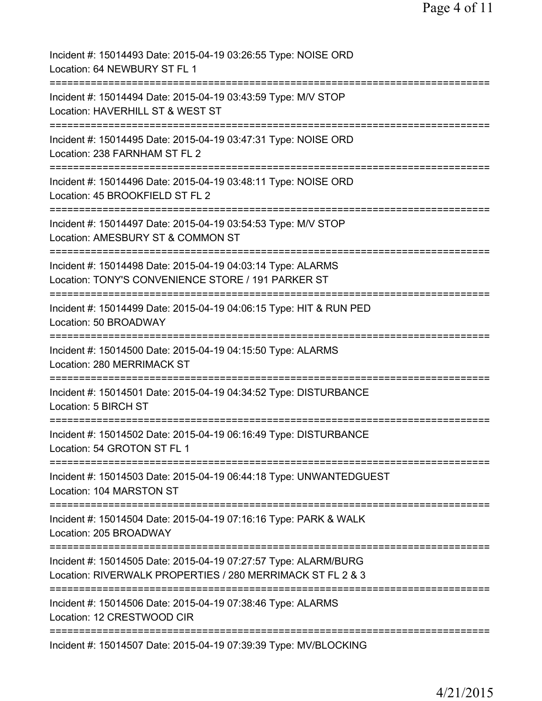| Incident #: 15014493 Date: 2015-04-19 03:26:55 Type: NOISE ORD<br>Location: 64 NEWBURY ST FL 1                                |
|-------------------------------------------------------------------------------------------------------------------------------|
| Incident #: 15014494 Date: 2015-04-19 03:43:59 Type: M/V STOP<br>Location: HAVERHILL ST & WEST ST                             |
| Incident #: 15014495 Date: 2015-04-19 03:47:31 Type: NOISE ORD<br>Location: 238 FARNHAM ST FL 2                               |
| Incident #: 15014496 Date: 2015-04-19 03:48:11 Type: NOISE ORD<br>Location: 45 BROOKFIELD ST FL 2                             |
| Incident #: 15014497 Date: 2015-04-19 03:54:53 Type: M/V STOP<br>Location: AMESBURY ST & COMMON ST                            |
| Incident #: 15014498 Date: 2015-04-19 04:03:14 Type: ALARMS<br>Location: TONY'S CONVENIENCE STORE / 191 PARKER ST             |
| Incident #: 15014499 Date: 2015-04-19 04:06:15 Type: HIT & RUN PED<br>Location: 50 BROADWAY                                   |
| Incident #: 15014500 Date: 2015-04-19 04:15:50 Type: ALARMS<br>Location: 280 MERRIMACK ST                                     |
| Incident #: 15014501 Date: 2015-04-19 04:34:52 Type: DISTURBANCE<br>Location: 5 BIRCH ST                                      |
| Incident #: 15014502 Date: 2015-04-19 06:16:49 Type: DISTURBANCE<br>Location: 54 GROTON ST FL 1                               |
| Incident #: 15014503 Date: 2015-04-19 06:44:18 Type: UNWANTEDGUEST<br>Location: 104 MARSTON ST                                |
| Incident #: 15014504 Date: 2015-04-19 07:16:16 Type: PARK & WALK<br>Location: 205 BROADWAY                                    |
| Incident #: 15014505 Date: 2015-04-19 07:27:57 Type: ALARM/BURG<br>Location: RIVERWALK PROPERTIES / 280 MERRIMACK ST FL 2 & 3 |
| =======================<br>Incident #: 15014506 Date: 2015-04-19 07:38:46 Type: ALARMS<br>Location: 12 CRESTWOOD CIR          |
| ========================<br>=================<br>Incident #: 15014507 Date: 2015-04-19 07:39:39 Type: MV/BLOCKING             |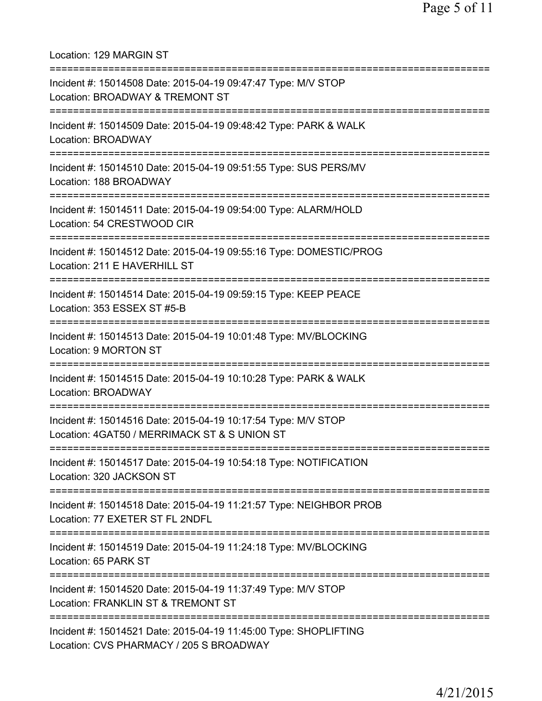Location: 129 MARGIN ST =========================================================================== Incident #: 15014508 Date: 2015-04-19 09:47:47 Type: M/V STOP Location: BROADWAY & TREMONT ST =========================================================================== Incident #: 15014509 Date: 2015-04-19 09:48:42 Type: PARK & WALK Location: BROADWAY =========================================================================== Incident #: 15014510 Date: 2015-04-19 09:51:55 Type: SUS PERS/MV Location: 188 BROADWAY =========================================================================== Incident #: 15014511 Date: 2015-04-19 09:54:00 Type: ALARM/HOLD Location: 54 CRESTWOOD CIR =========================================================================== Incident #: 15014512 Date: 2015-04-19 09:55:16 Type: DOMESTIC/PROG Location: 211 E HAVERHILL ST =========================================================================== Incident #: 15014514 Date: 2015-04-19 09:59:15 Type: KEEP PEACE Location: 353 ESSEX ST #5-B =========================================================================== Incident #: 15014513 Date: 2015-04-19 10:01:48 Type: MV/BLOCKING Location: 9 MORTON ST =========================================================================== Incident #: 15014515 Date: 2015-04-19 10:10:28 Type: PARK & WALK Location: BROADWAY =========================================================================== Incident #: 15014516 Date: 2015-04-19 10:17:54 Type: M/V STOP Location: 4GAT50 / MERRIMACK ST & S UNION ST =========================================================================== Incident #: 15014517 Date: 2015-04-19 10:54:18 Type: NOTIFICATION Location: 320 JACKSON ST =========================================================================== Incident #: 15014518 Date: 2015-04-19 11:21:57 Type: NEIGHBOR PROB Location: 77 EXETER ST FL 2NDFL =========================================================================== Incident #: 15014519 Date: 2015-04-19 11:24:18 Type: MV/BLOCKING Location: 65 PARK ST =========================================================================== Incident #: 15014520 Date: 2015-04-19 11:37:49 Type: M/V STOP Location: FRANKLIN ST & TREMONT ST =========================================================================== Incident #: 15014521 Date: 2015-04-19 11:45:00 Type: SHOPLIFTING Location: CVS PHARMACY / 205 S BROADWAY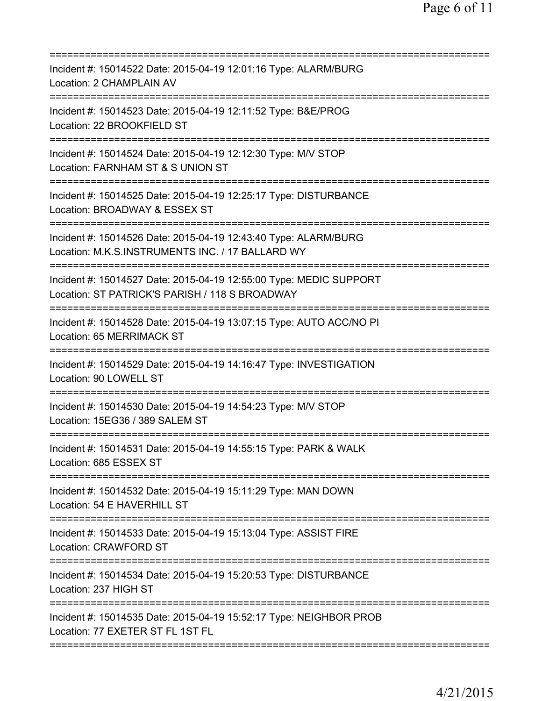| Incident #: 15014522 Date: 2015-04-19 12:01:16 Type: ALARM/BURG<br>Location: 2 CHAMPLAIN AV                                                         |
|-----------------------------------------------------------------------------------------------------------------------------------------------------|
| Incident #: 15014523 Date: 2015-04-19 12:11:52 Type: B&E/PROG<br>Location: 22 BROOKFIELD ST                                                         |
| Incident #: 15014524 Date: 2015-04-19 12:12:30 Type: M/V STOP<br>Location: FARNHAM ST & S UNION ST                                                  |
| Incident #: 15014525 Date: 2015-04-19 12:25:17 Type: DISTURBANCE<br>Location: BROADWAY & ESSEX ST<br>=========================                      |
| Incident #: 15014526 Date: 2015-04-19 12:43:40 Type: ALARM/BURG<br>Location: M.K.S.INSTRUMENTS INC. / 17 BALLARD WY                                 |
| ===========================<br>Incident #: 15014527 Date: 2015-04-19 12:55:00 Type: MEDIC SUPPORT<br>Location: ST PATRICK'S PARISH / 118 S BROADWAY |
| Incident #: 15014528 Date: 2015-04-19 13:07:15 Type: AUTO ACC/NO PI<br>Location: 65 MERRIMACK ST                                                    |
| Incident #: 15014529 Date: 2015-04-19 14:16:47 Type: INVESTIGATION<br>Location: 90 LOWELL ST                                                        |
| Incident #: 15014530 Date: 2015-04-19 14:54:23 Type: M/V STOP<br>Location: 15EG36 / 389 SALEM ST                                                    |
| Incident #: 15014531 Date: 2015-04-19 14:55:15 Type: PARK & WALK<br>Location: 685 ESSEX ST                                                          |
| Incident #: 15014532 Date: 2015-04-19 15:11:29 Type: MAN DOWN<br>Location: 54 E HAVERHILL ST                                                        |
| Incident #: 15014533 Date: 2015-04-19 15:13:04 Type: ASSIST FIRE<br>Location: CRAWFORD ST                                                           |
| Incident #: 15014534 Date: 2015-04-19 15:20:53 Type: DISTURBANCE<br>Location: 237 HIGH ST                                                           |
| Incident #: 15014535 Date: 2015-04-19 15:52:17 Type: NEIGHBOR PROB<br>Location: 77 EXETER ST FL 1ST FL                                              |
|                                                                                                                                                     |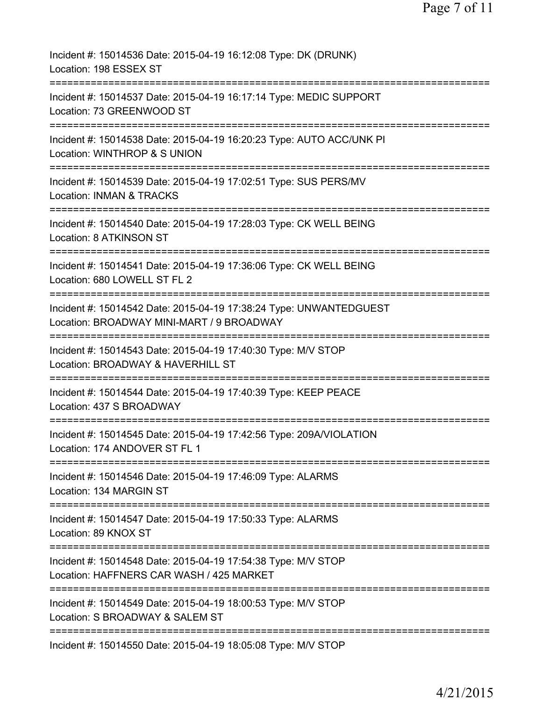| Incident #: 15014536 Date: 2015-04-19 16:12:08 Type: DK (DRUNK)<br>Location: 198 ESSEX ST                                                        |
|--------------------------------------------------------------------------------------------------------------------------------------------------|
| Incident #: 15014537 Date: 2015-04-19 16:17:14 Type: MEDIC SUPPORT<br>Location: 73 GREENWOOD ST                                                  |
| Incident #: 15014538 Date: 2015-04-19 16:20:23 Type: AUTO ACC/UNK PI<br>Location: WINTHROP & S UNION                                             |
| Incident #: 15014539 Date: 2015-04-19 17:02:51 Type: SUS PERS/MV<br><b>Location: INMAN &amp; TRACKS</b>                                          |
| Incident #: 15014540 Date: 2015-04-19 17:28:03 Type: CK WELL BEING<br>Location: 8 ATKINSON ST                                                    |
| ==================<br>Incident #: 15014541 Date: 2015-04-19 17:36:06 Type: CK WELL BEING<br>Location: 680 LOWELL ST FL 2<br>==================== |
| Incident #: 15014542 Date: 2015-04-19 17:38:24 Type: UNWANTEDGUEST<br>Location: BROADWAY MINI-MART / 9 BROADWAY                                  |
| ============================<br>Incident #: 15014543 Date: 2015-04-19 17:40:30 Type: M/V STOP<br>Location: BROADWAY & HAVERHILL ST               |
| Incident #: 15014544 Date: 2015-04-19 17:40:39 Type: KEEP PEACE<br>Location: 437 S BROADWAY                                                      |
| Incident #: 15014545 Date: 2015-04-19 17:42:56 Type: 209A/VIOLATION<br>Location: 174 ANDOVER ST FL 1                                             |
| Incident #: 15014546 Date: 2015-04-19 17:46:09 Type: ALARMS<br>Location: 134 MARGIN ST                                                           |
| Incident #: 15014547 Date: 2015-04-19 17:50:33 Type: ALARMS<br>Location: 89 KNOX ST                                                              |
| Incident #: 15014548 Date: 2015-04-19 17:54:38 Type: M/V STOP<br>Location: HAFFNERS CAR WASH / 425 MARKET                                        |
| Incident #: 15014549 Date: 2015-04-19 18:00:53 Type: M/V STOP<br>Location: S BROADWAY & SALEM ST                                                 |
| ========================<br>=============<br>Incident #: 15014550 Date: 2015-04-19 18:05:08 Type: M/V STOP                                       |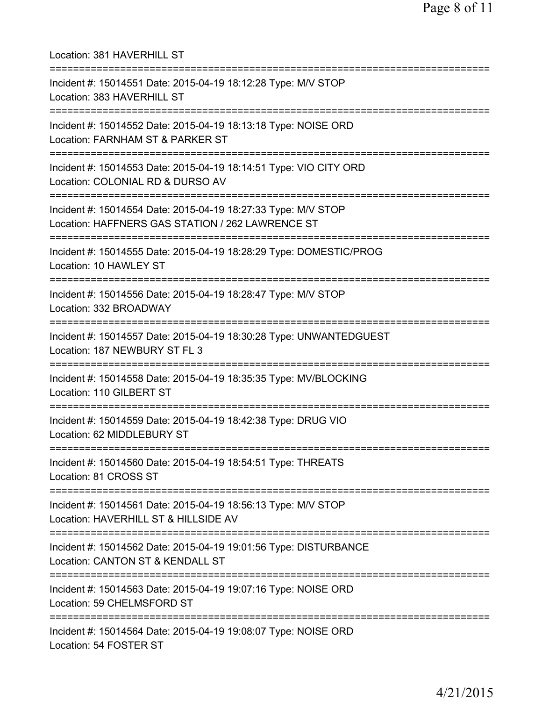| Location: 381 HAVERHILL ST<br>===============================                                                                                      |
|----------------------------------------------------------------------------------------------------------------------------------------------------|
| Incident #: 15014551 Date: 2015-04-19 18:12:28 Type: M/V STOP<br>Location: 383 HAVERHILL ST<br>================================                    |
| Incident #: 15014552 Date: 2015-04-19 18:13:18 Type: NOISE ORD<br>Location: FARNHAM ST & PARKER ST                                                 |
| Incident #: 15014553 Date: 2015-04-19 18:14:51 Type: VIO CITY ORD<br>Location: COLONIAL RD & DURSO AV                                              |
| Incident #: 15014554 Date: 2015-04-19 18:27:33 Type: M/V STOP<br>Location: HAFFNERS GAS STATION / 262 LAWRENCE ST                                  |
| --------------------------<br>Incident #: 15014555 Date: 2015-04-19 18:28:29 Type: DOMESTIC/PROG<br>Location: 10 HAWLEY ST                         |
| Incident #: 15014556 Date: 2015-04-19 18:28:47 Type: M/V STOP<br>Location: 332 BROADWAY                                                            |
| Incident #: 15014557 Date: 2015-04-19 18:30:28 Type: UNWANTEDGUEST<br>Location: 187 NEWBURY ST FL 3                                                |
| Incident #: 15014558 Date: 2015-04-19 18:35:35 Type: MV/BLOCKING<br>Location: 110 GILBERT ST                                                       |
| Incident #: 15014559 Date: 2015-04-19 18:42:38 Type: DRUG VIO<br>Location: 62 MIDDLEBURY ST                                                        |
| ======================================<br>===============<br>Incident #: 15014560 Date: 2015-04-19 18:54:51 Type: THREATS<br>Location: 81 CROSS ST |
| Incident #: 15014561 Date: 2015-04-19 18:56:13 Type: M/V STOP<br>Location: HAVERHILL ST & HILLSIDE AV                                              |
| Incident #: 15014562 Date: 2015-04-19 19:01:56 Type: DISTURBANCE<br>Location: CANTON ST & KENDALL ST                                               |
| Incident #: 15014563 Date: 2015-04-19 19:07:16 Type: NOISE ORD<br>Location: 59 CHELMSFORD ST                                                       |
| Incident #: 15014564 Date: 2015-04-19 19:08:07 Type: NOISE ORD<br>Location: 54 FOSTER ST                                                           |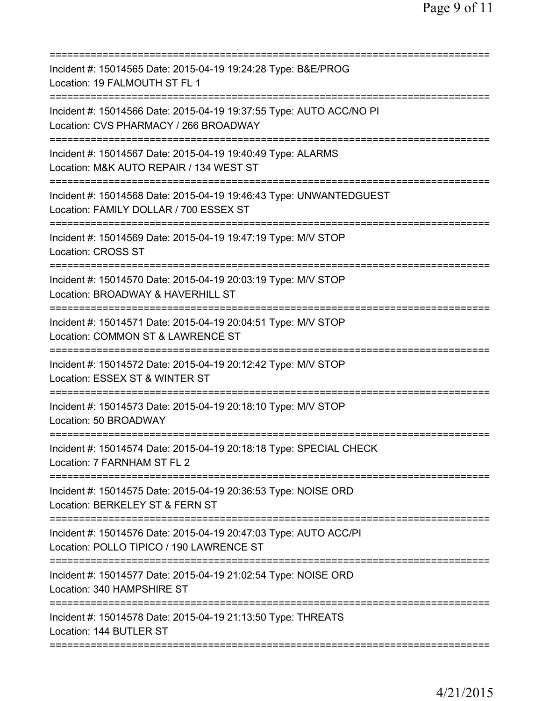| Incident #: 15014565 Date: 2015-04-19 19:24:28 Type: B&E/PROG<br>Location: 19 FALMOUTH ST FL 1                                               |
|----------------------------------------------------------------------------------------------------------------------------------------------|
| Incident #: 15014566 Date: 2015-04-19 19:37:55 Type: AUTO ACC/NO PI<br>Location: CVS PHARMACY / 266 BROADWAY<br>===========================  |
| Incident #: 15014567 Date: 2015-04-19 19:40:49 Type: ALARMS<br>Location: M&K AUTO REPAIR / 134 WEST ST                                       |
| Incident #: 15014568 Date: 2015-04-19 19:46:43 Type: UNWANTEDGUEST<br>Location: FAMILY DOLLAR / 700 ESSEX ST<br>============================ |
| Incident #: 15014569 Date: 2015-04-19 19:47:19 Type: M/V STOP<br><b>Location: CROSS ST</b>                                                   |
| Incident #: 15014570 Date: 2015-04-19 20:03:19 Type: M/V STOP<br>Location: BROADWAY & HAVERHILL ST                                           |
| Incident #: 15014571 Date: 2015-04-19 20:04:51 Type: M/V STOP<br>Location: COMMON ST & LAWRENCE ST                                           |
| Incident #: 15014572 Date: 2015-04-19 20:12:42 Type: M/V STOP<br>Location: ESSEX ST & WINTER ST                                              |
| Incident #: 15014573 Date: 2015-04-19 20:18:10 Type: M/V STOP<br>Location: 50 BROADWAY                                                       |
| Incident #: 15014574 Date: 2015-04-19 20:18:18 Type: SPECIAL CHECK<br>Location: 7 FARNHAM ST FL 2                                            |
| Incident #: 15014575 Date: 2015-04-19 20:36:53 Type: NOISE ORD<br>Location: BERKELEY ST & FERN ST                                            |
| Incident #: 15014576 Date: 2015-04-19 20:47:03 Type: AUTO ACC/PI<br>Location: POLLO TIPICO / 190 LAWRENCE ST                                 |
| Incident #: 15014577 Date: 2015-04-19 21:02:54 Type: NOISE ORD<br>Location: 340 HAMPSHIRE ST                                                 |
| Incident #: 15014578 Date: 2015-04-19 21:13:50 Type: THREATS<br>Location: 144 BUTLER ST                                                      |
|                                                                                                                                              |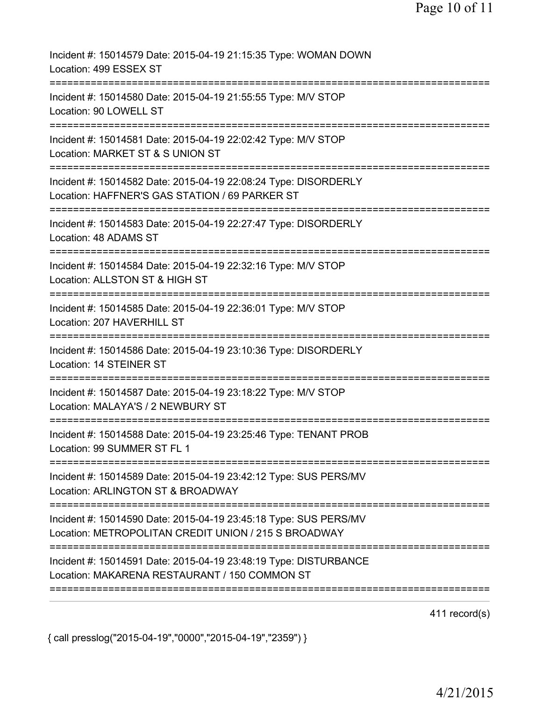| Incident #: 15014579 Date: 2015-04-19 21:15:35 Type: WOMAN DOWN<br>Location: 499 ESSEX ST                                    |
|------------------------------------------------------------------------------------------------------------------------------|
| Incident #: 15014580 Date: 2015-04-19 21:55:55 Type: M/V STOP<br>Location: 90 LOWELL ST                                      |
| Incident #: 15014581 Date: 2015-04-19 22:02:42 Type: M/V STOP<br>Location: MARKET ST & S UNION ST                            |
| Incident #: 15014582 Date: 2015-04-19 22:08:24 Type: DISORDERLY<br>Location: HAFFNER'S GAS STATION / 69 PARKER ST            |
| Incident #: 15014583 Date: 2015-04-19 22:27:47 Type: DISORDERLY<br>Location: 48 ADAMS ST                                     |
| Incident #: 15014584 Date: 2015-04-19 22:32:16 Type: M/V STOP<br>Location: ALLSTON ST & HIGH ST<br>========================= |
| Incident #: 15014585 Date: 2015-04-19 22:36:01 Type: M/V STOP<br>Location: 207 HAVERHILL ST                                  |
| Incident #: 15014586 Date: 2015-04-19 23:10:36 Type: DISORDERLY<br>Location: 14 STEINER ST                                   |
| Incident #: 15014587 Date: 2015-04-19 23:18:22 Type: M/V STOP<br>Location: MALAYA'S / 2 NEWBURY ST                           |
| Incident #: 15014588 Date: 2015-04-19 23:25:46 Type: TENANT PROB<br>Location: 99 SUMMER ST FL 1                              |
| Incident #: 15014589 Date: 2015-04-19 23:42:12 Type: SUS PERS/MV<br>Location: ARLINGTON ST & BROADWAY                        |
| Incident #: 15014590 Date: 2015-04-19 23:45:18 Type: SUS PERS/MV<br>Location: METROPOLITAN CREDIT UNION / 215 S BROADWAY     |
| Incident #: 15014591 Date: 2015-04-19 23:48:19 Type: DISTURBANCE<br>Location: MAKARENA RESTAURANT / 150 COMMON ST            |
|                                                                                                                              |

411 record(s)

{ call presslog("2015-04-19","0000","2015-04-19","2359") }